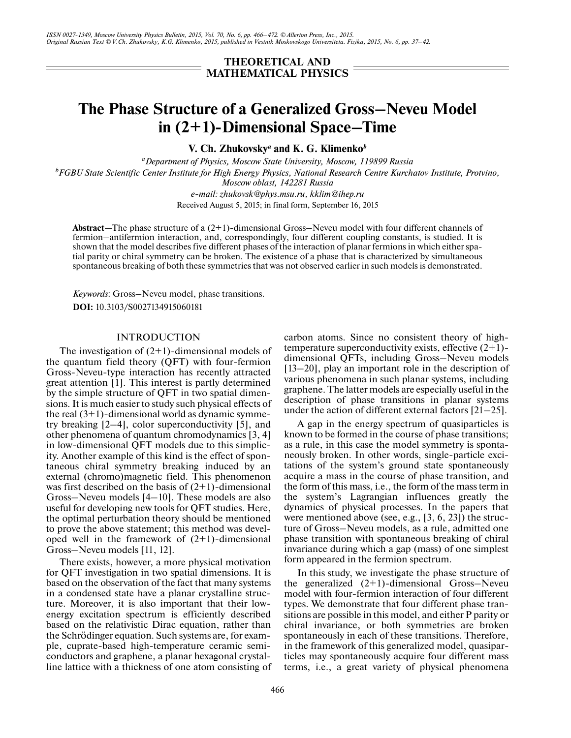# **THEORETICAL AND MATHEMATICAL PHYSICS**

# **The Phase Structure of a Generalized Gross–Neveu Model in (2+1)-Dimensional Space–Time**

**V. Ch. Zhukovsky***a* **and K. G. Klimenko***<sup>b</sup>*

*aDepartment of Physics, Moscow State University, Moscow, 119899 Russia b FGBU State Scientific Center Institute for High Energy Physics, National Research Centre Kurchatov Institute, Protvino, Moscow oblast, 142281 Russia*

*e-mail: zhukovsk@phys.msu.ru, kklim@ihep.ru* Received August 5, 2015; in final form, September 16, 2015

**Abstract**—The phase structure of a (2+1)-dimensional Gross–Neveu model with four different channels of fermion–antifermion interaction, and, correspondingly, four different coupling constants, is studied. It is shown that the model describes five different phases of the interaction of planar fermions in which either spatial parity or chiral symmetry can be broken. The existence of a phase that is characterized by simultaneous spontaneous breaking of both these symmetries that was not observed earlier in such models is demonstrated.

*Keywords*: Gross–Neveu model, phase transitions. **DOI:** 10.3103/S0027134915060181

# INTRODUCTION

The investigation of  $(2+1)$ -dimensional models of the quantum field theory (QFT) with four-fermion Gross-Neveu-type interaction has recently attracted great attention [1]. This interest is partly determined by the simple structure of QFT in two spatial dimensions. It is much easier to study such physical effects of the real  $(3+1)$ -dimensional world as dynamic symmetry breaking [2–4], color superconductivity [5], and other phenomena of quantum chromodynamics [3, 4] in low-dimensional QFT models due to this simplicity. Another example of this kind is the effect of spontaneous chiral symmetry breaking induced by an external (chromo)magnetic field. This phenomenon was first described on the basis of  $(2+1)$ -dimensional Gross–Neveu models [4–10]. These models are also useful for developing new tools for QFT studies. Here, the optimal perturbation theory should be mentioned to prove the above statement; this method was developed well in the framework of  $(2+1)$ -dimensional Gross–Neveu models [11, 12].

There exists, however, a more physical motivation for QFT investigation in two spatial dimensions. It is based on the observation of the fact that many systems in a condensed state have a planar crystalline structure. Moreover, it is also important that their lowenergy excitation spectrum is efficiently described based on the relativistic Dirac equation, rather than the Schrödinger equation. Such systems are, for example, cuprate-based high-temperature ceramic semiconductors and graphene, a planar hexagonal crystalline lattice with a thickness of one atom consisting of carbon atoms. Since no consistent theory of hightemperature superconductivity exists, effective  $(2+1)$ dimensional QFTs, including Gross–Neveu models [13–20], play an important role in the description of various phenomena in such planar systems, including graphene. The latter models are especially useful in the description of phase transitions in planar systems under the action of different external factors [21–25].

A gap in the energy spectrum of quasiparticles is known to be formed in the course of phase transitions; as a rule, in this case the model symmetry is spontaneously broken. In other words, single-particle excitations of the system's ground state spontaneously acquire a mass in the course of phase transition, and the form of this mass, i.e., the form of the mass term in the system's Lagrangian influences greatly the dynamics of physical processes. In the papers that were mentioned above (see, e.g., [3, 6, 23]) the structure of Gross–Neveu models, as a rule, admitted one phase transition with spontaneous breaking of chiral invariance during which a gap (mass) of one simplest form appeared in the fermion spectrum.

In this study, we investigate the phase structure of the generalized (2+1)-dimensional Gross–Neveu model with four-fermion interaction of four different types. We demonstrate that four different phase transitions are possible in this model, and either P parity or chiral invariance, or both symmetries are broken spontaneously in each of these transitions. Therefore, in the framework of this generalized model, quasiparticles may spontaneously acquire four different mass terms, i.e., a great variety of physical phenomena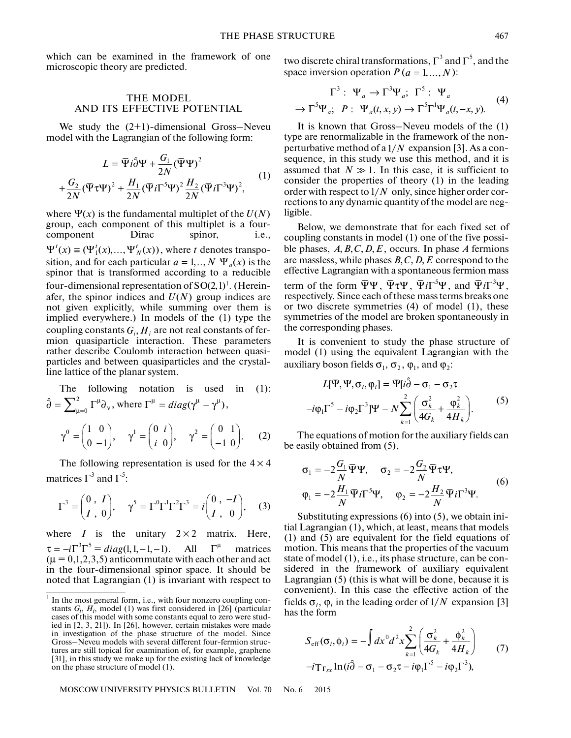which can be examined in the framework of one microscopic theory are predicted.

### THE MODEL AND ITS EFFECTIVE POTENTIAL

We study the  $(2+1)$ -dimensional Gross-Neveu model with the Lagrangian of the following form:

$$
L = \overline{\Psi} i \hat{\partial} \Psi + \frac{G_1}{2N} (\overline{\Psi} \Psi)^2
$$
  
+ 
$$
\frac{G_2}{2N} (\overline{\Psi} \tau \Psi)^2 + \frac{H_1}{2N} (\overline{\Psi} i \Gamma^5 \Psi)^2 \frac{H_2}{2N} (\overline{\Psi} i \Gamma^3 \Psi)^2,
$$
 (1)

where  $\Psi(x)$  is the fundamental multiplet of the  $U(N)$ group, each component of this multiplet is a fourcomponent Dirac spinor, i.e.,  $\Psi^{t}(x) \equiv (\Psi_{1}^{t}(x), ..., \Psi_{N}^{t}(x))$ , where t denotes transposition, and for each particular  $a = 1,.., N \Psi_a(x)$  is the spinor that is transformed according to a reducible four-dimensional representation of  $SO(2,1)^1$ . (Hereinafer, the spinor indices and  $U(N)$  group indices are not given explicitly, while summing over them is implied everywhere.) In models of the (1) type the coupling constants  $G_i, H_i$  are not real constants of fermion quasiparticle interaction. These parameters rather describe Coulomb interaction between quasiparticles and between quasiparticles and the crystalline lattice of the planar system.

The following notation is used in (1):  
\n
$$
\hat{\partial} = \sum_{\mu=0}^{2} \Gamma^{\mu} \partial_{\nu}, \text{ where } \Gamma^{\mu} = diag(\gamma^{\mu} - \gamma^{\mu}),
$$
\n
$$
\gamma^{0} = \begin{pmatrix} 1 & 0 \\ 0 & -1 \end{pmatrix}, \quad \gamma^{1} = \begin{pmatrix} 0 & i \\ i & 0 \end{pmatrix}, \quad \gamma^{2} = \begin{pmatrix} 0 & 1 \\ -1 & 0 \end{pmatrix}. \quad (2)
$$

The following representation is used for the  $4 \times 4$ matrices  $\Gamma^3$  and  $\Gamma^5$ :

$$
\Gamma^3 = \begin{pmatrix} 0 & I \\ I & 0 \end{pmatrix}, \quad \gamma^5 = \Gamma^0 \Gamma^1 \Gamma^2 \Gamma^3 = i \begin{pmatrix} 0 & -I \\ I & 0 \end{pmatrix}, \quad (3)
$$

where  $I$  is the unitary  $2 \times 2$  matrix. Here,  $\tau = -i\Gamma^3 \Gamma^5 = diag(1, 1, -1, -1)$ . All  $\Gamma^{\mu}$  matrices  $(\mu = 0, 1, 2, 3, 5)$  anticommutate with each other and act in the four-dimensional spinor space. It should be noted that Lagrangian (1) is invariant with respect to

MOSCOW UNIVERSITY PHYSICS BULLETIN Vol. 70 No. 6 2015

two discrete chiral transformations,  $\Gamma^3$  and  $\Gamma^5$ , and the space inversion operation  $P(a = 1, ..., N)$ :

$$
\Gamma^3: \Psi_a \to \Gamma^3 \Psi_a; \ \Gamma^5: \Psi_a
$$
  

$$
\to \Gamma^5 \Psi_a; \ P: \ \Psi_a(t, x, y) \to \Gamma^5 \Gamma^1 \Psi_a(t, -x, y). \tag{4}
$$

It is known that Gross–Neveu models of the (1) type are renormalizable in the framework of the nonperturbative method of a  $1/N$  expansion [3]. As a consequence, in this study we use this method, and it is assumed that  $N \gg 1$ . In this case, it is sufficient to consider the properties of theory (1) in the leading order with respect to  $1/N$  only, since higher order corrections to any dynamic quantity of the model are negligible.

Below, we demonstrate that for each fixed set of coupling constants in model (1) one of the five possible phases,  $A, B, C, D, E$ , occurs. In phase A fermions are massless, while phases  $B, C, D, E$  correspond to the effective Lagrangian with a spontaneous fermion mass term of the form  $\overline{\Psi}\Psi$ ,  $\overline{\Psi}\tau\Psi$ ,  $\overline{\Psi}i\Gamma^5\Psi$ , and  $\overline{\Psi}i\Gamma^3\Psi$ , respectively. Since each of these mass terms breaks one or two discrete symmetries (4) of model (1), these symmetries of the model are broken spontaneously in the corresponding phases.

It is convenient to study the phase structure of model (1) using the equivalent Lagrangian with the auxiliary boson fields  $\sigma_1$ ,  $\sigma_2$ ,  $\varphi_1$ , and  $\varphi_2$ :

$$
L[\overline{\Psi}, \Psi, \sigma_i, \varphi_i] = \overline{\Psi}[i\hat{\partial} - \sigma_1 - \sigma_2 \tau
$$
  
-i\varphi\_1 \Gamma^5 - i\varphi\_2 \Gamma^3] \Psi - N \sum\_{k=1}^2 \left( \frac{\sigma\_k^2}{4G\_k} + \frac{\varphi\_k^2}{4H\_k} \right). (5)

The equations of motion for the auxiliary fields can be easily obtained from (5),

$$
\sigma_1 = -2\frac{G_1}{N}\overline{\Psi}\Psi, \quad \sigma_2 = -2\frac{G_2}{N}\overline{\Psi}\tau\Psi,
$$
  
\n
$$
\varphi_1 = -2\frac{H_1}{N}\overline{\Psi}i\Gamma^5\Psi, \quad \varphi_2 = -2\frac{H_2}{N}\overline{\Psi}i\Gamma^3\Psi.
$$
\n(6)

Substituting expressions (6) into (5), we obtain initial Lagrangian (1), which, at least, means that models (1) and (5) are equivalent for the field equations of motion. This means that the properties of the vacuum state of model (1), i.e., its phase structure, can be considered in the framework of auxiliary equivalent Lagrangian (5) (this is what will be done, because it is convenient). In this case the effective action of the fields  $\sigma_i$ ,  $\varphi_i$  in the leading order of  $1/N$  expansion [3] has the form

$$
S_{\text{eff}}(\sigma_i, \phi_i) = -\int dx^0 d^2x \sum_{k=1}^2 \left( \frac{\sigma_k^2}{4G_k} + \frac{\phi_k^2}{4H_k} \right) \qquad (7)
$$

$$
-i \text{Tr}_{sx} \ln(i\hat{\partial} - \sigma_1 - \sigma_2 \tau - i\phi_1 \Gamma^5 - i\phi_2 \Gamma^3),
$$

<sup>&</sup>lt;sup>1</sup> In the most general form, i.e., with four nonzero coupling constants  $G_i$ ,  $H_i$ , model (1) was first considered in [26] (particular cases of this model with some constants equal to zero were studied in [2, 3, 21]). In [26], however, certain mistakes were made in investigation of the phase structure of the model. Since Gross–Neveu models with several different four-fermion structures are still topical for examination of, for example, graphene [31], in this study we make up for the existing lack of knowledge on the phase structure of model (1).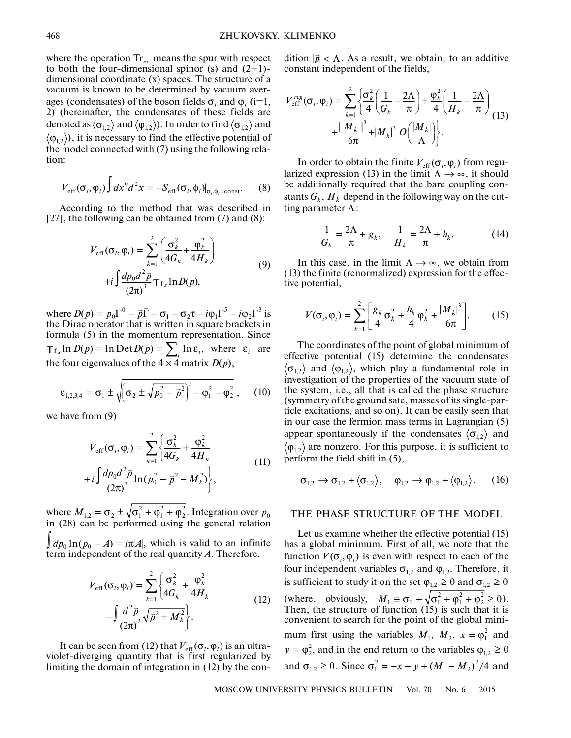where the operation  $Tr_{xx}$  means the spur with respect to both the four-dimensional spinor (s) and  $(2+1)$ dimensional coordinate (x) spaces. The structure of a vacuum is known to be determined by vacuum averages (condensates) of the boson fields  $\sigma_i$  and  $\varphi_i$  (i=1, 2) (hereinafter, the condensates of these fields are denoted as  $\langle\sigma_{_{1,2}}\rangle$  and  $\langle\phi_{_{1,2}}\rangle$ ). In order to find  $\langle\sigma_{_{1,2}}\rangle$  and  $\varphi_{1,2}$ ), it is necessary to find the effective potential of the model connected with (7) using the following relation:

$$
V_{\rm eff}(\sigma_i, \varphi_i) \int dx^0 d^2x = -S_{\rm eff}(\sigma_i, \phi_i)|_{\sigma_i, \phi_i = \text{const.}} \qquad (8)
$$

According to the method that was described in [27], the following can be obtained from (7) and (8):

$$
V_{\text{eff}}(\sigma_i, \varphi_i) = \sum_{k=1}^2 \left( \frac{\sigma_k^2}{4G_k} + \frac{\varphi_k^2}{4H_k} \right)
$$
  
+*i*  $\int \frac{dp_0 d^2 \vec{p}}{(2\pi)^3} \text{Tr}_s \ln D(p)$ , (9)

where  $D(p) = p_0 \Gamma^0 - \vec{p} \vec{\Gamma} - \sigma_1 - \sigma_2 \tau - i \varphi_1 \Gamma^3 - i \varphi_2 \Gamma^3$  is the Dirac operator that is written in square brackets in formula (5) in the momentum representation. Since , where  $\varepsilon_i$  are the four eigenvalues of the  $4 \times 4$  matrix  $D(p)$ ,  $D(p) = p_0 \Gamma^0 - \vec{p} \vec{\Gamma} - \sigma_1 - \sigma_2 \tau - i \varphi_1 \Gamma^5 - i \varphi_2 \Gamma^3$  $Tr_s \ln D(p) = \ln \text{Det} D(p) = \sum_i \ln \varepsilon_i$ , where  $\varepsilon_i$  $D(p)$ 

$$
\varepsilon_{1,2,3,4} = \sigma_1 \pm \sqrt{\left(\sigma_2 \pm \sqrt{p_0^2 - \vec{p}^2}\right)^2 - \varphi_1^2 - \varphi_2^2},\qquad(10)
$$

we have from (9)

$$
V_{\text{eff}}(\sigma_i, \varphi_i) = \sum_{k=1}^2 \left\{ \frac{\sigma_k^2}{4G_k} + \frac{\varphi_k^2}{4H_k} + i \int \frac{dp_0 d^2 \vec{p}}{(2\pi)^3} \ln(p_0^2 - \vec{p}^2 - M_k^2) \right\},
$$
(11)

where  $M_{12} = \sigma_2 \pm \sqrt{\sigma_1^2 + \phi_1^2 + \phi_2^2}$ . Integration over in (28) can be performed using the general relation  $\int dp_0 \ln(p_0 - A) = i\pi |A|$ , which is valid to an infinite term independent of the real quantity *A*. Therefore,  $M_{1,2} = \sigma_2 \pm \sqrt{\sigma_1^2 + \varphi_1^2 + \varphi_2^2}$ . Integration over  $p_0$ 

$$
V_{\text{eff}}(\sigma_i, \varphi_i) = \sum_{k=1}^2 \left\{ \frac{\sigma_k^2}{4G_k} + \frac{\varphi_k^2}{4H_k} - \int \frac{d^2 \vec{p}}{(2\pi)^2} \sqrt{\vec{p}^2 + M_k^2} \right\}.
$$
 (12)

It can be seen from (12) that  $V_{\text{eff}}(\sigma_i, \varphi_i)$  is an ultraviolet-diverging quantity that is first regularized by limiting the domain of integration in (12) by the con-

dition  $|\vec{p}| < \Lambda$ . As a result, we obtain, to an additive constant independent of the fields,

$$
V_{\text{eff}}^{reg}(\sigma_i, \varphi_i) = \sum_{k=1}^2 \left\{ \frac{\sigma_k^2}{4} \left( \frac{1}{G_k} - \frac{2\Lambda}{\pi} \right) + \frac{\varphi_k^2}{4} \left( \frac{1}{H_k} - \frac{2\Lambda}{\pi} \right) + \frac{|M_k|^3}{6\pi} + |M_k|^3 O\left( \frac{|M_k|}{\Lambda} \right) \right\}.
$$
 (13)

In order to obtain the finite  $V_{\text{eff}}(\sigma_i, \varphi_i)$  from regularized expression (13) in the limit  $\Lambda \rightarrow \infty$ , it should be additionally required that the bare coupling constants  $G_k$ ,  $H_k$  depend in the following way on the cutting parameter  $\Lambda$ :

$$
\frac{1}{G_k} = \frac{2\Lambda}{\pi} + g_k, \quad \frac{1}{H_k} = \frac{2\Lambda}{\pi} + h_k.
$$
 (14)

In this case, in the limit  $\Lambda \rightarrow \infty$ , we obtain from (13) the finite (renormalized) expression for the effective potential,

$$
V(\sigma_i, \varphi_i) = \sum_{k=1}^2 \left[ \frac{g_k}{4} \sigma_k^2 + \frac{h_k}{4} \varphi_k^2 + \frac{|M_k|^3}{6\pi} \right].
$$
 (15)

The coordinates of the point of global minimum of effective potential (15) determine the condensates  $\sigma_{1,2}$  and  $\langle \varphi_{1,2} \rangle$ , which play a fundamental role in investigation of the properties of the vacuum state of the system, i.e., all that is called the phase structure (symmetry of the ground sate, masses of its single-particle excitations, and so on). It can be easily seen that in our case the fermion mass terms in Lagrangian (5) appear spontaneously if the condensates  $\langle \sigma_{1,2} \rangle$  and  $\varphi_{1,2}$  are nonzero. For this purpose, it is sufficient to perform the field shift in (5),

$$
\sigma_{1,2} \rightarrow \sigma_{1,2} + \langle \sigma_{1,2} \rangle, \quad \varphi_{1,2} \rightarrow \varphi_{1,2} + \langle \varphi_{1,2} \rangle. \quad (16)
$$

# THE PHASE STRUCTURE OF THE MODEL

Let us examine whether the effective potential (15) has a global minimum. First of all, we note that the function  $V(\sigma_i, \varphi_i)$  is even with respect to each of the four independent variables  $\sigma_{1,2}$  and  $\varphi_{1,2}$ . Therefore, it is sufficient to study it on the set  $\varphi_{1,2} \ge 0$  and  $\sigma_{1,2} \ge 0$ (where, obviously,  $M_1 \equiv \sigma_2 + \sqrt{\sigma_1^2 + \phi_1^2 + \phi_2^2} \ge 0$ ). Then, the structure of function (15) is such that it is convenient to search for the point of the global minimum first using the variables  $M_1$ ,  $M_2$ ,  $x = \varphi_1^2$  and  $y = \varphi_2^2$ , and in the end return to the variables  $\varphi_{1,2} \ge 0$ and  $\sigma_{1,2} \ge 0$ . Since  $\sigma_1^2 = -x - y + (M_1 - M_2)^2/4$  and  $M_1 \equiv \sigma_2 + \sqrt{\sigma_1^2 + \varphi_1^2 + \varphi_2^2} \ge 0$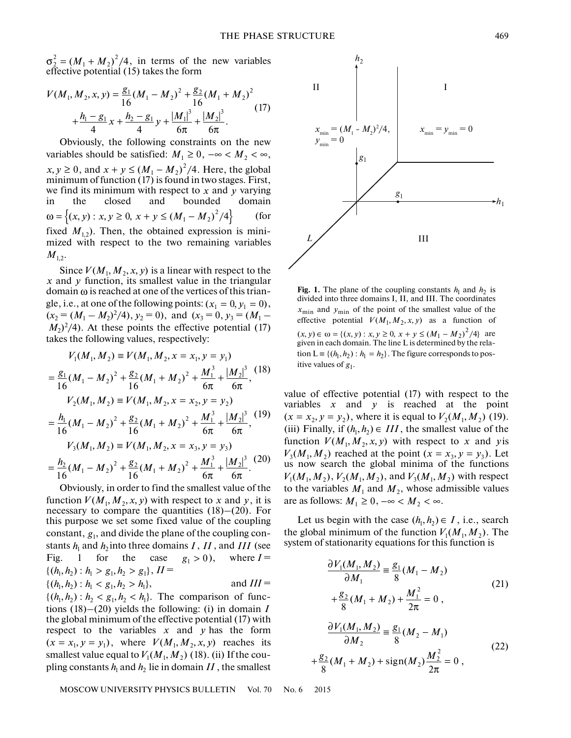$\sigma_2^2 = (M_1 + M_2)^2/4$ , in terms of the new variables effective potential (15) takes the form

$$
V(M_1, M_2, x, y) = \frac{g_1}{16} (M_1 - M_2)^2 + \frac{g_2}{16} (M_1 + M_2)^2 + \frac{h_1 - g_1}{4} x + \frac{h_2 - g_1}{4} y + \frac{|M_1|^3}{6\pi} + \frac{|M_2|^3}{6\pi}.
$$
 (17)

Obviously, the following constraints on the new variables should be satisfied:  $M_1 \geq 0$ ,  $-\infty < M_2 < \infty$ ,  $x, y \ge 0$ , and  $x + y \le (M_1 - M_2)^2/4$ . Here, the global minimum of function (17) is found in two stages. First, we find its minimum with respect to  $x$  and  $y$  varying in the closed and bounded domain (for fixed  $M_{1,2}$ ). Then, the obtained expression is minimized with respect to the two remaining variables  $M_{1,2}$  $\omega = \left\{ (x, y) : x, y \ge 0, x + y \le (M_1 - M_2)^2 / 4 \right\}$ 

Since  $V(M_1, M_2, x, y)$  is a linear with respect to the x and y function, its smallest value in the triangular  $domain \omega$  is reached at one of the vertices of this triangle, i.e., at one of the following points:  $(x_1 = 0, y_1 = 0)$ ,  $(x_2 = (M_1 - M_2)^2/4$ ,  $y_2 = 0$ , and  $(x_3 = 0, y_3 = (M_1 M_2$ )<sup>2</sup>/4). At these points the effective potential (17) takes the following values, respectively:

$$
V_1(M_1, M_2) \equiv V(M_1, M_2, x = x_1, y = y_1)
$$
  
=  $\frac{g_1}{16}(M_1 - M_2)^2 + \frac{g_2}{16}(M_1 + M_2)^2 + \frac{M_1^3}{6\pi} + \frac{|M_2|^3}{6\pi},$   

$$
V_2(M_1, M_2) \equiv V(M_1, M_2, x = x_2, y = y_2)
$$
  
=  $\frac{h_1}{16}(M_1 - M_2)^2 + \frac{g_2}{16}(M_1 + M_2)^2 + \frac{M_1^3}{6\pi} + \frac{|M_2|^3}{6\pi},$   

$$
V_3(M_1, M_2) \equiv V(M_1, M_2, x = x_3, y = y_3)
$$
  
=  $\frac{h_2}{16}(M_1 - M_2)^2 + \frac{g_2}{16}(M_1 + M_2)^2 + \frac{M_1^3}{6\pi} + \frac{|M_2|^3}{6\pi}.$  (20)

Obviously, in order to find the smallest value of the function  $V(M_1, M_2, x, y)$  with respect to x and y, it is necessary to compare the quantities  $(18)$ – $(20)$ . For this purpose we set some fixed value of the coupling constant,  $g_1$ , and divide the plane of the coupling constants  $h_1$  and  $h_2$  into three domains  $I$  ,  $II$  , and  $III$  (see Fig. 1 for the case  $g_1 > 0$ ), where  $I =$  $\{(h_1, h_2) : h_1 > g_1, h_2 > g_1\}, H =$ and  $III =$  $\{(h_1, h_2) : h_2 < g_1, h_2 < h_1\}$ . The comparison of functions (18)–(20) yields the following: (i) in domain *I*  $g_1 > 0$ ),  $\{(h_1, h_2) : h_1 < g_1, h_2 > h_1\},\$ 

the global minimum of the effective potential (17) with respect to the variables  $x$  and  $y$  has the form  $(x = x_1, y = y_1)$ , where  $V(M_1, M_2, x, y)$  reaches its smallest value equal to  $V_1(M_1,M_2)$  (18). (ii) If the coupling constants  $h_1$  and  $h_2$  lie in domain  $II$  , the smallest



**Fig. 1.** The plane of the coupling constants  $h_1$  and  $h_2$  is divided into three domains I, II, and III. The coordinates  $x_{\text{min}}$  and  $y_{\text{min}}$  of the point of the smallest value of the effective potential  $V(M_1, M_2, x, y)$  as a function of  $(x, y) \in \omega = \{(x, y) : x, y \ge 0, x + y \le (M_1 - M_2)^2/4\}$  are given in each domain. The line L is determined by the relation  $L = \{(h_1, h_2) : h_1 = h_2\}$ . The figure corresponds to positive values of  $g_1$ .

value of effective potential (17) with respect to the variables x and y is reached at the point  $(x = x_2, y = y_2)$ , where it is equal to  $V_2(M_1, M_2)$  (19). (iii) Finally, if  $(h_1, h_2) \in III$ , the smallest value of the function  $V(M_1, M_2, x, y)$  with respect to x and y is  $V_3(M_1, M_2)$  reached at the point  $(x = x_3, y = y_3)$ . Let us now search the global minima of the functions  $V_1(M_1, M_2)$ ,  $V_2(M_1, M_2)$ , and  $V_3(M_1, M_2)$  with respect to the variables  $M_1$  and  $M_2$ , whose admissible values are as follows:  $M_1 \geq 0$ ,  $-\infty < M_2 < \infty$ .

Let us begin with the case  $(h_1, h_2) \in I$ , i.e., search the global minimum of the function  $V_1(M_1, M_2)$ . The system of stationarity equations for this function is

$$
\frac{\partial V_1(M_1, M_2)}{\partial M_1} = \frac{g_1}{8}(M_1 - M_2)
$$
\n
$$
+ \frac{g_2}{8}(M_1 + M_2) + \frac{M_1^2}{2\pi} = 0,
$$
\n
$$
\frac{\partial V_1(M_1, M_2)}{\partial M_2} = \frac{g_1}{8}(M_2 - M_1)
$$
\n
$$
+ \frac{g_2}{8}(M_1 + M_2) + \text{sign}(M_2) \frac{M_2^2}{2\pi} = 0,
$$
\n(22)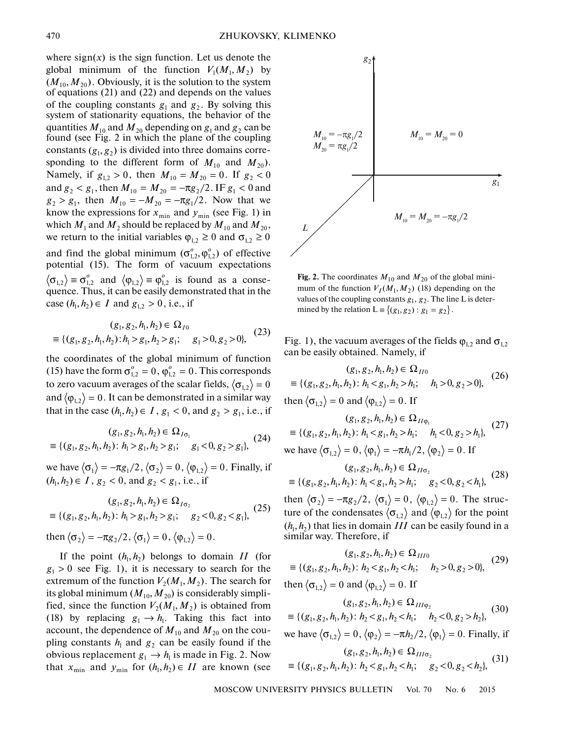where  $sign(x)$  is the sign function. Let us denote the global minimum of the function  $V_1(M_1, M_2)$  by  $(M_{10}, M_{20})$ . Obviously, it is the solution to the system of equations (21) and (22) and depends on the values of the coupling constants  $g_1$  and  $g_2$ . By solving this system of stationarity equations, the behavior of the quantities  $M_{10}$  and  $M_{20}$  depending on  $g_1$  and  $g_2$  can be found (see Fig. 2 in which the plane of the coupling constants  $(g_1, g_2)$  is divided into three domains corresponding to the different form of  $M_{10}$  and  $M_{20}$ ). Namely, if  $g_{1,2} > 0$ , then  $M_{10} = M_{20} = 0$ . If  $g_2 < 0$ and  $g_2 < g_1$ , then  $M_{10} = M_{20} = -\pi g_2/2$ . IF  $g_1 < 0$  and  $g_2 > g_1$ , then  $M_{10} = -M_{20} = -\pi g_1/2$ . Now that we know the expressions for  $x_{\min}$  and  $y_{\min}$  (see Fig. 1) in which  $M_1$  and  $M_2$  should be replaced by  $M_{10}$  and  $M_{20}$ , we return to the initial variables  $\varphi_{1,2} \ge 0$  and  $\sigma_{1,2} \ge 0$ and find the global minimum  $(\sigma_{1,2}^o, \varphi_{1,2}^o)$  of effective potential (15). The form of vacuum expectations  $\langle \sigma_{1,2} \rangle \equiv \sigma_{1,2}^o$  and  $\langle \phi_{1,2} \rangle \equiv \phi_{1,2}^o$  is found as a consequence. Thus, it can be easily demonstrated that in the case  $(h_1, h_2) \in I$  and  $g_{1,2} > 0$ , i.e., if

$$
(g_1, g_2, h_1, h_2) \in \Omega_{I0}
$$
  

$$
\equiv \{ (g_1, g_2, h_1, h_2) : h_1 > g_1, h_2 > g_1; g_1 > 0, g_2 > 0 \},
$$
 (23)

the coordinates of the global minimum of function (15) have the form  $\sigma_{1,2}^o = 0$ ,  $\varphi_{1,2}^o = 0$ . This corresponds to zero vacuum averages of the scalar fields,  $\left\langle \sigma _{_{1,2}}\right\rangle =0$ and  $\langle \phi_{1,2} \rangle = 0.$  It can be demonstrated in a similar way that in the case  $(h_1, h_2) \in I$ ,  $g_1 < 0$ , and  $g_2 > g_1$ , i.e., if

$$
(g_1, g_2, h_1, h_2) \in \Omega_{I\sigma_1}
$$
  

$$
\equiv \{ (g_1, g_2, h_1, h_2) \colon h_1 > g_1, h_2 > g_1; \quad g_1 < 0, g_2 > g_1 \},
$$
 (24)

we have  $\langle \sigma_1 \rangle = -\pi g_1/2$ ,  $\langle \sigma_2 \rangle = 0$ ,  $\langle \phi_{1,2} \rangle = 0$ . Finally, if  $(h_1, h_2) \in I$ ,  $g_2 < 0$ , and  $g_2 < g_1$ , i.e., if

$$
(g_1, g_2, h_1, h_2) \in \Omega_{I\sigma_2}
$$
  

$$
\equiv \{(g_1, g_2, h_1, h_2) : h_1 > g_1, h_2 > g_1; g_2 < 0, g_2 < g_1\},
$$
 (25)

then  $\langle \sigma_2 \rangle = -\pi g_2/2$ ,  $\langle \sigma_1 \rangle = 0$ ,  $\langle \phi_{1,2} \rangle = 0$ .

If the point  $(h_1, h_2)$  belongs to domain  $II$  (for  $g_1 > 0$  see Fig. 1), it is necessary to search for the extremum of the function  $V_2(M_1, M_2)$ . The search for its global minimum ( $M_{10}, M_{20}$ ) is considerably simplified, since the function  $V_2(M_1, M_2)$  is obtained from (18) by replacing  $g_1 \rightarrow h_1$ . Taking this fact into account, the dependence of  $M_{10}$  and  $M_{20}$  on the coupling constants  $h_1$  and  $g_2$  can be easily found if the obvious replacement  $g_1 \rightarrow h_1$  is made in Fig. 2. Now that  $x_{\min}$  and  $y_{\min}$  for  $(h_1, h_2) \in H$  are known (see



**Fig. 2.** The coordinates  $M_{10}$  and  $M_{20}$  of the global minimum of the function  $V_I(M_1, M_2)$  (18) depending on the values of the coupling constants  $g_1, g_2$ . The line L is determined by the relation  $L = \{(g_1, g_2) : g_1 = g_2\}.$ 

Fig. 1), the vacuum averages of the fields  $\varphi_{1,2}$  and  $\sigma_{1,2}$ can be easily obtained. Namely, if

$$
(g_1, g_2, h_1, h_2) \in \Omega_{II0}
$$
  
\n
$$
\equiv \{(g_1, g_2, h_1, h_2) : h_1 < g_1, h_2 > h_1; \quad h_1 > 0, g_2 > 0\},
$$
 (26)  
\nthen  $\langle \sigma_{1,2} \rangle = 0$  and  $\langle \phi_{1,2} \rangle = 0$ . If

$$
(g_1, g_2, h_1, h_2) \in \Omega_{II\varphi_1}
$$
  
\n
$$
\equiv \{ (g_1, g_2, h_1, h_2) : h_1 < g_1, h_2 > h_1; \quad h_1 < 0, g_2 > h_1 \},
$$
 (27)  
\nwe have  $\langle \sigma_{1,2} \rangle = 0, \langle \phi_1 \rangle = -\pi h_1/2, \langle \phi_2 \rangle = 0$ . If

$$
(g_1, g_2, h_1, h_2) \in \Omega_{II\sigma_2}
$$
  
= { $(g_1, g_2, h_1, h_2)$ :  $h_1 < g_1, h_2 > h_1$ ;  $g_2 < 0, g_2 < h_1$ }, (28)

then  $\langle \sigma_2 \rangle = -\pi g_2/2$ ,  $\langle \sigma_1 \rangle = 0$ ,  $\langle \phi_{1,2} \rangle = 0$ . The structure of the condensates  $\langle \sigma_{1,2} \rangle$  and  $\langle \phi_{1,2} \rangle$  for the point  $(h_1, h_2)$  that lies in domain *III* can be easily found in a similar way. Therefore, if

$$
(g_1, g_2, h_1, h_2) \in \Omega_{III0}
$$
  
\n
$$
\equiv \{ (g_1, g_2, h_1, h_2) : h_2 < g_1, h_2 < h_1; \quad h_2 > 0, g_2 > 0 \},
$$
  
\nthen  $\langle \sigma_{1,2} \rangle = 0$  and  $\langle \phi_{1,2} \rangle = 0$ . If

$$
(g_1, g_2, h_1, h_2) \in \Omega_{III\varphi_2}
$$
  
 
$$
\equiv \{ (g_1, g_2, h_1, h_2) : h_2 < g_1, h_2 < h_1; \quad h_2 < 0, g_2 > h_2 \},
$$
 (30)

we have  $\langle \sigma_{1,2} \rangle = 0$ ,  $\langle \phi_2 \rangle = -\pi h_2/2$ ,  $\langle \phi_1 \rangle = 0$ . Finally, if

$$
(g_1, g_2, h_1, h_2) \in \Omega_{III\sigma_2}
$$
  

$$
\equiv \{(g_1, g_2, h_1, h_2) : h_2 < g_1, h_2 < h_1; g_2 < 0, g_2 < h_2\},
$$
 (31)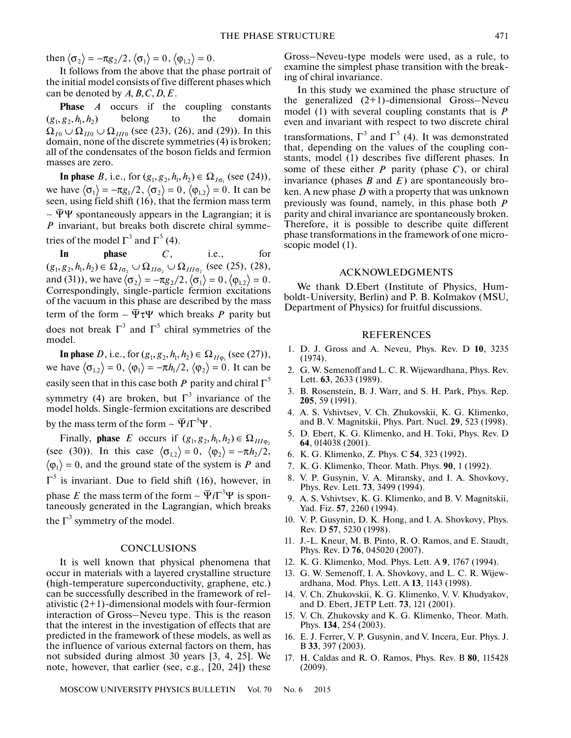then  $\langle \sigma_2 \rangle = -\pi g_2/2, \langle \sigma_1 \rangle = 0, \langle \phi_{1,2} \rangle = 0.$ 

It follows from the above that the phase portrait of the initial model consists of five different phases which can be denoted by  $A, B, C, D, E$ .

**Phase** *A* occurs if the coupling constants belong to the domain  $\Omega_{I0} \cup \Omega_{II0} \cup \Omega_{III0}$  (see (23), (26), and (29)). In this domain, none of the discrete symmetries (4) is broken; all of the condensates of the boson fields and fermion masses are zero.  $(g_1, g_2, h_1, h_2)$ 

**In phase** *B*, i.e., for  $(g_1, g_2, h_1, h_2) \in \Omega_{I_{\sigma_1}}$  (see (24)), we have  $\langle \sigma_1 \rangle = -\pi g_1/2$ ,  $\langle \sigma_2 \rangle = 0$ ,  $\langle \phi_{1,2} \rangle = 0$ . It can be seen, using field shift (16), that the fermion mass term  $\sim \overline{\Psi} \Psi$  spontaneously appears in the Lagrangian; it is P invariant, but breaks both discrete chiral symmetries of the model  $\Gamma^3$  and  $\Gamma^5$  (4).

**In phase** *C*, i.e., for (see (25), (28), and (31)), we have  $\langle \sigma_2 \rangle = -\pi g_2/2$ ,  $\langle \sigma_1 \rangle = 0$ ,  $\langle \phi_{12} \rangle = 0$ . Correspondingly, single-particle fermion excitations ∼of the vacuum in this phase are described by the mass term of the form  $\sim \bar{\Psi} \tau \Psi$  which breaks P parity but does not break  $\Gamma^3$  and  $\Gamma^5$  chiral symmetries of the model.  $phase \qquad C.$  $(g_1, g_2, h_1, h_2) \in \Omega_{I\sigma_2} \cup \Omega_{II\sigma_2} \cup \Omega_{III\sigma_2}$  $\langle \sigma^{}_{2} \rangle = -\pi g^{}_{2}/2$  ,  $\langle \sigma^{}_{1} \rangle = 0$  ,  $\langle \phi^{}_{1,2} \rangle = 0$ 

**In phase** *D*, i.e., for  $(g_1, g_2, h_1, h_2) \in \Omega_{H_{\Phi_1}}(\text{see (27)}),$ we have  $\langle \sigma_{12} \rangle = 0$ ,  $\langle \phi_1 \rangle = -\pi h_1/2$ ,  $\langle \phi_2 \rangle = 0$ . It can be easily seen that in this case both  $P$  parity and chiral  $\Gamma^5$ symmetry (4) are broken, but  $\Gamma^3$  invariance of the model holds. Single-fermion excitations are described by the mass term of the form  $\sim \overline{\Psi} i \Gamma^3 \Psi$ . *D*, i.e., for  $(g_1, g_2, h_1, h_2) \in \Omega_{H\varphi_1}$  $\ket{\sigma_{1,2}}=0,\, \Braket{\phi_1}=-\pi h_1/2,\, \Braket{\phi_2}=0$ ut Γ<sup>3</sup> i<br>excitation

Finally, **phase** E occurs if  $(g_1, g_2, h_1, h_2) \in \Omega_{III\varphi_2}$ (see (30)). In this case  $\langle \sigma_{1,2} \rangle = 0$ ,  $\langle \phi_2 \rangle = -\pi h_2/2$ ,  $\ket{\phi_1} = 0$ , and the ground state of the system is P and  $\Gamma^5$  is invariant. Due to field shift (16), however, in  $\Gamma^5$  is invariant. Due to field shift (16), however, in phase *E* the mass term of the form ~  $\Psi i \Gamma^3 \Psi$  is spontaneously generated in the Lagrangian, which breaks the  $\Gamma^3$  symmetry of the model.

### **CONCLUSIONS**

It is well known that physical phenomena that occur in materials with a layered crystalline structure (high-temperature superconductivity, graphene, etc.) can be successfully described in the framework of relativistic  $(2+1)$ -dimensional models with four-fermion interaction of Gross–Neveu type. This is the reason that the interest in the investigation of effects that are predicted in the framework of these models, as well as the influence of various external factors on them, has not subsided during almost 30 years [3, 4, 25]. We note, however, that earlier (see, e.g., [20, 24]) these

Gross–Neveu-type models were used, as a rule, to examine the simplest phase transition with the breaking of chiral invariance.

In this study we examined the phase structure of the generalized (2+1)-dimensional Gross–Neveu model (1) with several coupling constants that is *P* even and invariant with respect to two discrete chiral transformations,  $\Gamma^3$  and  $\Gamma^5$  (4). It was demonstrated that, depending on the values of the coupling constants, model (1) describes five different phases. In some of these either  $P$  parity (phase  $C$ ), or chiral invariance (phases  $B$  and  $E$ ) are spontaneously broken. A new phase  $D$  with a property that was unknown previously was found, namely, in this phase both *P*parity and chiral invariance are spontaneously broken. Therefore, it is possible to describe quite different phase transformations in the framework of one microscopic model (1).

### ACKNOWLEDGMENTS

We thank D.Ebert (Institute of Physics, Humboldt-University, Berlin) and P. B. Kolmakov (MSU, Department of Physics) for fruitful discussions.

## REFERENCES

- 1. D. J. Gross and A. Neveu, Phys. Rev. D **10**, 3235 (1974).
- 2. G. W. Semenoff and L. C. R. Wijewardhana, Phys. Rev. Lett. **63**, 2633 (1989).
- 3. B. Rosenstein, B. J. Warr, and S. H. Park, Phys. Rep. **205**, 59 (1991).
- 4. A. S. Vshivtsev, V. Ch. Zhukovskii, K. G. Klimenko, and B. V. Magnitskii, Phys. Part. Nucl. **29**, 523 (1998).
- 5. D. Ebert, K. G. Klimenko, and H. Toki, Phys. Rev. D **64**, 014038 (2001).
- 6. K. G. Klimenko, Z. Phys. C **54**, 323 (1992).
- 7. K. G. Klimenko, Theor. Math. Phys. **90**, 1 (1992).
- 8. V. P. Gusynin, V. A. Miransky, and I. A. Shovkovy, Phys. Rev. Lett. **73**, 3499 (1994).
- 9. A. S. Vshivtsev, K. G. Klimenko, and B. V. Magnitskii, Yad. Fiz. **57**, 2260 (1994).
- 10. V. P. Gusynin, D. K. Hong, and I. A. Shovkovy, Phys. Rev. D **57**, 5230 (1998).
- 11. J.-L. Kneur, M. B. Pinto, R. O. Ramos, and E. Staudt, Phys. Rev. D **76**, 045020 (2007).
- 12. K. G. Klimenko, Mod. Phys. Lett. A **9**, 1767 (1994).
- 13. G. W. Semenoff, I. A. Shovkovy, and L. C. R. Wijewardhana, Mod. Phys. Lett. A **13**, 1143 (1998).
- 14. V. Ch. Zhukovskii, K. G. Klimenko, V. V. Khudyakov, and D. Ebert, JETP Lett. **73**, 121 (2001).
- 15. V. Ch. Zhukovsky and K. G. Klimenko, Theor. Math. Phys. **134**, 254 (2003).
- 16. E. J. Ferrer, V. P. Gusynin, and V. Incera, Eur. Phys. J. B **33**, 397 (2003).
- 17. H. Caldas and R. O. Ramos, Phys. Rev. B **80**, 115428 (2009).